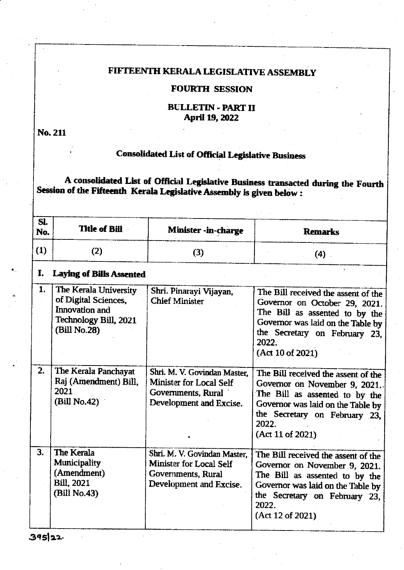## FIFTEENTH KERALA LEGISLATIVE ASSEMBLY

### FOURTH SESSION

#### **BULLETIN - PART II** April 19, 2022

No.211

# Consolidated List of Official Legislative Business

A consolidated List of Official Legislative Business transacted during the Fourth Session of the Fifteenth Kerala Legislative Assembly is given below :

| SI. |                                                                                                          |                                                                                                          |                                                                                                                                                                                                           |
|-----|----------------------------------------------------------------------------------------------------------|----------------------------------------------------------------------------------------------------------|-----------------------------------------------------------------------------------------------------------------------------------------------------------------------------------------------------------|
| No. | Title of Bill                                                                                            | Minister -in-charge                                                                                      | <b>Remarks</b>                                                                                                                                                                                            |
| (1) | (2)                                                                                                      | (3)                                                                                                      | $(4)$ .                                                                                                                                                                                                   |
| I.  | <b>Laying of Bills Assented</b>                                                                          |                                                                                                          |                                                                                                                                                                                                           |
| 1.  | The Kerala University<br>of Digital Sciences,<br>Innovation and<br>Technology Bill, 2021<br>(Bill No.28) | Shri. Pinarayi Vijayan,<br><b>Chief Minister</b>                                                         | The Bill received the assent of the<br>Governor on October 29, 2021.<br>The Bill as assented to by the<br>Governor was laid on the Table by<br>the Secretary on February 23,<br>2022.<br>(Act 10 of 2021) |
| 2.  | The Kerala Panchayat<br>Raj (Amendment) Bill,<br>2021<br>(Bill No.42)                                    | Shri. M. V. Govindan Master.<br>Minister for Local Self<br>Governments, Rural<br>Development and Excise. | The Bill received the assent of the<br>Governor on November 9, 2021.<br>The Bill as assented to by the<br>Governor was laid on the Table by<br>the Secretary on February 23,<br>2022.<br>(Act 11 of 2021) |
| 3.  | The Kerala<br>Municipality<br>(Amendment)<br><b>Bill, 2021</b><br>(Bill No.43)                           | Shri. M. V. Govindan Master,<br>Minister for Local Self<br>Governments, Rural<br>Development and Excise. | The Bill received the assent of the<br>Governor on November 9, 2021.<br>The Bill as assented to by the<br>Governor was laid on the Table by<br>the Secretary on February 23,<br>2022.<br>(Act 12 of 2021) |

395 22.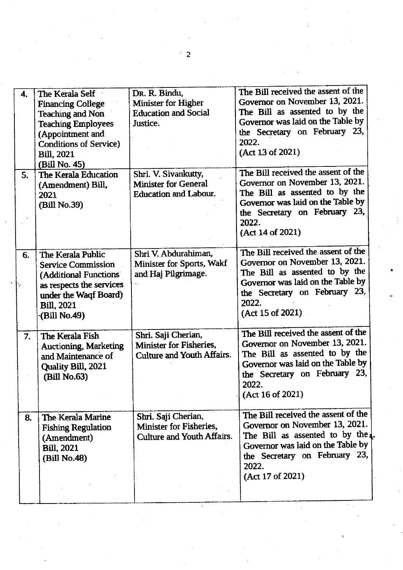|    |                               |                                      | The Bill received the assent of the |
|----|-------------------------------|--------------------------------------|-------------------------------------|
| 4. | The Kerala Self               | Dr. R. Bindu,<br>Minister for Higher | Governor on November 13, 2021.      |
|    | <b>Financing College</b>      | <b>Education and Social</b>          | The Bill as assented to by the      |
|    | <b>Teaching and Non</b>       |                                      | Governor was laid on the Table by   |
|    | <b>Teaching Employees</b>     | Justice.                             | the Secretary on February 23,       |
|    | (Appointment and              |                                      | 2022.                               |
|    | <b>Conditions of Service)</b> |                                      |                                     |
|    | <b>Bill. 2021</b>             |                                      | (Act 13 of 2021)                    |
|    | (Bill No. 45)                 |                                      | The Bill received the assent of the |
| 5. | The Kerala Education          | Shri. V. Sivankutty,                 | Governor on November 13, 2021.      |
|    | (Amendment) Bill,             | <b>Minister for General</b>          |                                     |
|    | 2021                          | <b>Education and Labour.</b>         | The Bill as assented to by the      |
|    | (Bill No.39)                  |                                      | Governor was laid on the Table by   |
|    |                               |                                      | the Secretary on February 23,       |
|    |                               |                                      | 2022.                               |
|    |                               |                                      | (Act 14 of 2021)                    |
|    |                               |                                      | The Bill received the assent of the |
| 6. | The Kerala Public             | Shri V. Abdurahiman,                 | Governor on November 13, 2021.      |
|    | <b>Service Commission</b>     | Minister for Sports, Wakf            | The Bill as assented to by the      |
|    | (Additional Functions)        | and Haj Pilgrimage.                  |                                     |
|    | as respects the services      |                                      | Governor was laid on the Table by   |
|    | under the Waqf Board)         |                                      | the Secretary on February 23,       |
|    | <b>Bill</b> , 2021            |                                      | 2022.                               |
|    | (Bill No.49)                  |                                      | (Act 15 of 2021)                    |
|    |                               |                                      | The Bill received the assent of the |
| 7. | The Kerala Fish               | Shri. Saji Cherian,                  |                                     |
|    | <b>Auctioning, Marketing</b>  | Minister for Fisheries,              | Governor on November 13, 2021.      |
|    | and Maintenance of            | Culture and Youth Affairs.           | The Bill as assented to by the      |
|    | Quality Bill, 2021            |                                      | Governor was laid on the Table by   |
|    | (Bill No.63)                  |                                      | the Secretary on February 23,       |
|    |                               |                                      | 2022.                               |
|    |                               |                                      | (Act 16 of 2021)                    |
|    |                               |                                      |                                     |
| 8. | The Kerala Marine             | Shri. Saji Cherian,                  | The Bill received the assent of the |
|    | <b>Fishing Regulation</b>     | Minister for Fisheries,              | Governor on November 13, 2021.      |
|    | (Amendment)                   | Culture and Youth Affairs.           | The Bill as assented to by the      |
|    | <b>Bill</b> , 2021            |                                      | Governor was laid on the Table by   |
|    | (Bill No.48)                  |                                      | the Secretary on February 23,       |
|    |                               |                                      | 2022.                               |
|    |                               |                                      | (Act 17 of 2021)                    |
|    |                               |                                      |                                     |
|    |                               |                                      |                                     |

 $\overline{2}$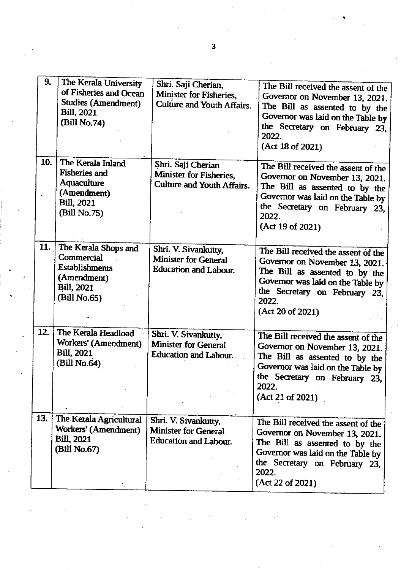| 9.  | The Kerala University<br>of Fisheries and Ocean<br><b>Studies (Amendment)</b><br><b>Bill</b> , 2021<br>(Bill No.74) | Shri. Saji Cherian,<br>Minister for Fisheries,<br>Culture and Youth Affairs.        | The Bill received the assent of the<br>Governor on November 13, 2021.<br>The Bill as assented to by the<br>Governor was laid on the Table by<br>the Secretary on February 23,<br>2022.<br>(Act 18 of 2021) |
|-----|---------------------------------------------------------------------------------------------------------------------|-------------------------------------------------------------------------------------|------------------------------------------------------------------------------------------------------------------------------------------------------------------------------------------------------------|
| 10. | The Kerala Inland<br><b>Fisheries and</b><br>Aquaculture<br>(Amendment)<br><b>Bill</b> , 2021<br>(Bill No.75)       | Shri. Saji Cherian<br>Minister for Fisheries,<br>Culture and Youth Affairs.         | The Bill received the assent of the<br>Governor on November 13, 2021.<br>The Bill as assented to by the<br>Governor was laid on the Table by<br>the Secretary on February 23,<br>2022.<br>(Act 19 of 2021) |
| 11. | The Kerala Shops and<br>Commercial<br><b>Establishments</b><br>(Amendment)<br><b>Bill</b> , 2021<br>(Bill No.65)    | Shri. V. Sivankutty,<br><b>Minister for General</b><br>Education and Labour.        | The Bill received the assent of the<br>Governor on November 13, 2021.<br>The Bill as assented to by the<br>Governor was laid on the Table by<br>the Secretary on February 23,<br>2022.<br>(Act 20 of 2021) |
| 12. | The Kerala Headload<br>Workers' (Amendment)<br><b>Bill</b> , 2021<br>(Bill No.64)                                   | Shri. V. Sivankutty,<br><b>Minister for General</b><br><b>Education and Labour.</b> | The Bill received the assent of the<br>Governor on November 13, 2021.<br>The Bill as assented to by the<br>Governor was laid on the Table by<br>the Secretary on February 23,<br>2022.<br>(Act 21 of 2021) |
| 13. | The Kerala Agricultural<br>Workers' (Amendment)<br><b>Bill</b> , 2021<br>(Bill No.67)                               | Shri. V. Sivankutty,<br><b>Minister for General</b><br>Education and Labour.        | The Bill received the assent of the<br>Governor on November 13, 2021.<br>The Bill as assented to by the<br>Governor was laid on the Table by<br>the Secretary on February 23,<br>2022.<br>(Act 22 of 2021) |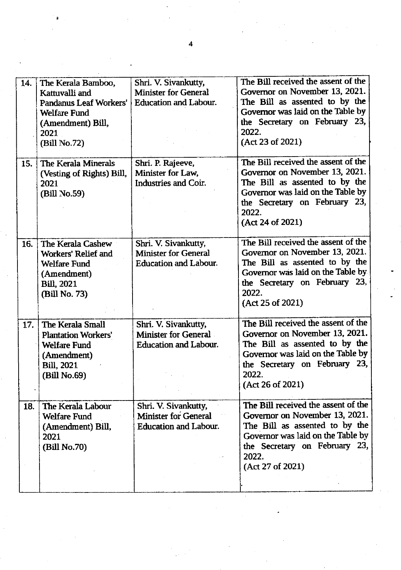| 14. | The Kerala Bamboo,<br>Kattuvalli and<br>Pandanus Leaf Workers'<br><b>Welfare Fund</b><br>(Amendment) Bill,<br>2021<br>(Bill No.72) | Shri. V. Sivankutty,<br><b>Minister for General</b><br>Education and Labour.        | The Bill received the assent of the<br>Governor on November 13, 2021.<br>The Bill as assented to by the<br>Governor was laid on the Table by<br>the Secretary on February 23,<br>2022.<br>(Act 23 of 2021) |
|-----|------------------------------------------------------------------------------------------------------------------------------------|-------------------------------------------------------------------------------------|------------------------------------------------------------------------------------------------------------------------------------------------------------------------------------------------------------|
| 15. | The Kerala Minerals<br>(Vesting of Rights) Bill,<br>2021<br>(Bill No.59)                                                           | Shri. P. Rajeeve,<br>Minister for Law,<br>Industries and Coir.                      | The Bill received the assent of the<br>Governor on November 13, 2021.<br>The Bill as assented to by the<br>Governor was laid on the Table by<br>the Secretary on February 23,<br>2022.<br>(Act 24 of 2021) |
| 16. | The Kerala Cashew<br>Workers' Relief and<br><b>Welfare Fund</b><br>(Amendment)<br><b>Bill</b> , 2021<br>(Bill No. 73)              | Shri. V. Sivankutty,<br>Minister for General<br><b>Education and Labour.</b>        | The Bill received the assent of the<br>Governor on November 13, 2021.<br>The Bill as assented to by the<br>Governor was laid on the Table by<br>the Secretary on February 23,<br>2022.<br>(Act 25 of 2021) |
| 17. | The Kerala Small<br><b>Plantation Workers'</b><br><b>Welfare Fund</b><br>(Amendment)<br><b>Bill</b> , 2021<br>(Bill No.69)         | Shri. V. Sivankutty,<br>Minister for General<br>Education and Labour.               | The Bill received the assent of the<br>Governor on November 13, 2021.<br>The Bill as assented to by the<br>Governor was laid on the Table by<br>the Secretary on February 23,<br>2022.<br>(Act 26 of 2021) |
| 18. | The Kerala Labour<br>Welfare Fund<br>(Amendment) Bill,<br>2021<br>(Bill No.70)                                                     | Shri. V. Sivankutty,<br><b>Minister for General</b><br><b>Education and Labour.</b> | The Bill received the assent of the<br>Governor on November 13, 2021.<br>The Bill as assented to by the<br>Governor was laid on the Table by<br>the Secretary on February 23,<br>2022.<br>(Act 27 of 2021) |

 $\overline{\mathbf{4}}$ 

 $\label{eq:2.1} \begin{aligned} \mu_{\text{max}}(\mathbf{r}) = \mathbf{r} \end{aligned}$ 

 $\mathcal{F}_{\mathcal{F}}$ 

 $\label{eq:2} \frac{1}{\sqrt{2}}\left(\frac{1}{\sqrt{2}}\right)^{2} \frac{1}{\sqrt{2}}\left(\frac{1}{\sqrt{2}}\right)^{2} \frac{1}{\sqrt{2}}\left(\frac{1}{\sqrt{2}}\right)^{2} \frac{1}{\sqrt{2}}\left(\frac{1}{\sqrt{2}}\right)^{2} \frac{1}{\sqrt{2}}\left(\frac{1}{\sqrt{2}}\right)^{2} \frac{1}{\sqrt{2}}\left(\frac{1}{\sqrt{2}}\right)^{2} \frac{1}{\sqrt{2}}\left(\frac{1}{\sqrt{2}}\right)^{2} \frac{1}{\sqrt{2}}\left(\frac{1}{$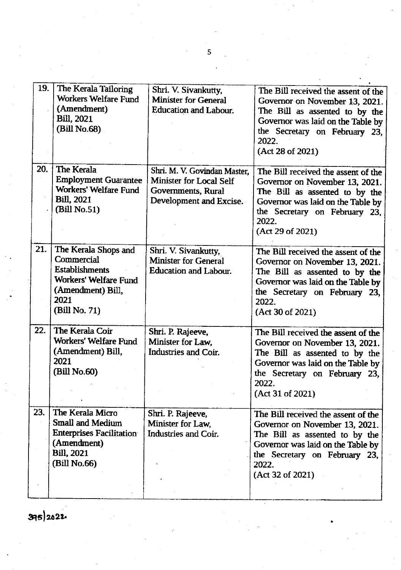| 19. | The Kerala Tailoring<br>Workers Welfare Fund<br>(Amendment)<br><b>Bill</b> , 2021<br>(Bill No.68)                                  | Shri. V. Sivankutty,<br><b>Minister for General</b><br><b>Education and Labour.</b>                      | The Bill received the assent of the<br>Governor on November 13, 2021.<br>The Bill as assented to by the<br>Governor was laid on the Table by<br>the Secretary on February 23,<br>2022.<br>(Act 28 of 2021) |
|-----|------------------------------------------------------------------------------------------------------------------------------------|----------------------------------------------------------------------------------------------------------|------------------------------------------------------------------------------------------------------------------------------------------------------------------------------------------------------------|
| 20. | The Kerala<br><b>Employment Guarantee</b><br>Workers' Welfare Fund<br><b>Bill</b> , 2021<br>(Bill No.51)                           | Shri. M. V. Govindan Master,<br>Minister for Local Self<br>Governments, Rural<br>Development and Excise. | The Bill received the assent of the<br>Governor on November 13, 2021.<br>The Bill as assented to by the<br>Governor was laid on the Table by<br>the Secretary on February 23,<br>2022.<br>(Act 29 of 2021) |
| 21. | The Kerala Shops and<br>Commercial<br><b>Establishments</b><br>Workers' Welfare Fund<br>(Amendment) Bill,<br>2021<br>(Bill No. 71) | Shri. V. Sivankutty,<br><b>Minister for General</b><br>Education and Labour.                             | The Bill received the assent of the<br>Governor on November 13, 2021.<br>The Bill as assented to by the<br>Governor was laid on the Table by<br>the Secretary on February 23,<br>2022.<br>(Act 30 of 2021) |
| 22. | The Kerala Coir<br>Workers' Welfare Fund<br>(Amendment) Bill,<br>2021<br>(Bill No.60)                                              | Shri. P. Rajeeve,<br>Minister for Law.<br>Industries and Coir.                                           | The Bill received the assent of the<br>Governor on November 13, 2021.<br>The Bill as assented to by the<br>Governor was laid on the Table by<br>the Secretary on February 23,<br>2022.<br>(Act 31 of 2021) |
| 23. | The Kerala Micro<br>Small and Medium<br><b>Enterprises Facilitation</b><br>(Amendment)<br><b>Bill, 2021</b><br>(Bill No.66)        | Shri. P. Rajeeve,<br>Minister for Law,<br>Industries and Coir.                                           | The Bill received the assent of the<br>Governor on November 13, 2021.<br>The Bill as assented to by the<br>Governor was laid on the Table by<br>the Secretary on February 23,<br>2022.<br>(Act 32 of 2021) |

395 2022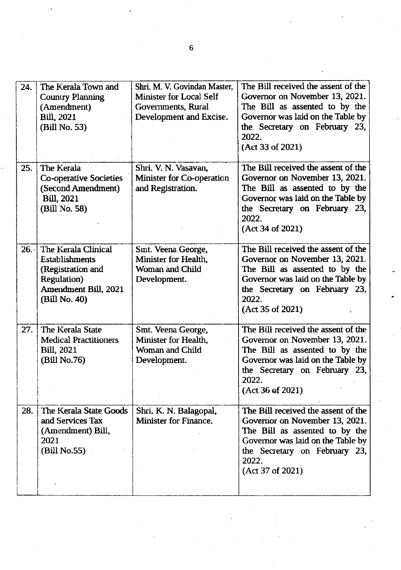| 24. | The Kerala Town and<br><b>Country Planning</b><br>(Amendment)<br><b>Bill</b> , 2021<br>(Bill No. 53)                          | Shri, M. V. Govindan Master,<br>Minister for Local Self<br>Governments, Rural<br>Development and Excise. | The Bill received the assent of the<br>Governor on November 13, 2021.<br>The Bill as assented to by the<br>Governor was laid on the Table by<br>the Secretary on February 23,<br>2022.<br>(Act 33 of 2021) |
|-----|-------------------------------------------------------------------------------------------------------------------------------|----------------------------------------------------------------------------------------------------------|------------------------------------------------------------------------------------------------------------------------------------------------------------------------------------------------------------|
| 25. | The Kerala<br><b>Co-operative Societies</b><br>(Second Amendment)<br><b>Bill</b> , 2021<br>(Bill No. 58)                      | Shri. V. N. Vasavan,<br>Minister for Co-operation<br>and Registration.                                   | The Bill received the assent of the<br>Governor on November 13, 2021.<br>The Bill as assented to by the<br>Governor was laid on the Table by<br>the Secretary on February 23,<br>2022.<br>(Act 34 of 2021) |
|     | 26. The Kerala Clinical<br><b>Establishments</b><br>(Registration and<br>Regulation)<br>Amendment Bill, 2021<br>(Bill No. 40) | Smt. Veena George,<br>Minister for Health.<br>Woman and Child<br>Development.                            | The Bill received the assent of the<br>Governor on November 13, 2021.<br>The Bill as assented to by the<br>Governor was laid on the Table by<br>the Secretary on February 23,<br>2022.<br>(Act 35 of 2021) |
| 27. | The Kerala State<br><b>Medical Practitioners</b><br><b>Bill</b> , 2021<br>(Bill No.76)                                        | Smt. Veena George,<br>Minister for Health.<br>Woman and Child<br>Development.                            | The Bill received the assent of the<br>Governor on November 13, 2021.<br>The Bill as assented to by the<br>Governor was laid on the Table by<br>the Secretary on February 23,<br>2022.<br>(Act 36 of 2021) |
| 28. | The Kerala State Goods<br>and Services Tax<br>(Amendment) Bill,<br>2021<br>(Bill No.55)                                       | Shri. K. N. Balagopal,<br>Minister for Finance.                                                          | The Bill received the assent of the<br>Governor on November 13, 2021.<br>The Bill as assented to by the<br>Governor was laid on the Table by<br>the Secretary on February 23,<br>2022.<br>(Act 37 of 2021) |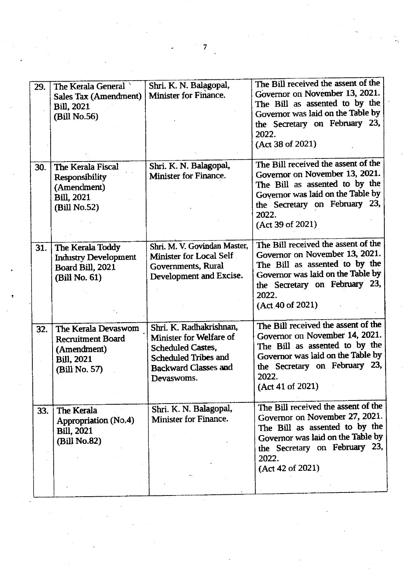| 29. | The Kerala General<br>Sales Tax (Amendment)<br><b>Bill</b> , 2021<br>(Bill No.56)                     | Shri. K. N. Balagopal,<br>Minister for Finance.                                                                                                     | The Bill received the assent of the<br>Governor on November 13, 2021.<br>The Bill as assented to by the<br>Governor was laid on the Table by<br>the Secretary on February 23,<br>2022.<br>(Act 38 of 2021) |
|-----|-------------------------------------------------------------------------------------------------------|-----------------------------------------------------------------------------------------------------------------------------------------------------|------------------------------------------------------------------------------------------------------------------------------------------------------------------------------------------------------------|
| 30. | The Kerala Fiscal<br>Responsibility<br>(Amendment)<br><b>Bill</b> , 2021<br>(Bill No.52)              | Shri. K. N. Balagopal,<br>Minister for Finance.                                                                                                     | The Bill received the assent of the<br>Governor on November 13, 2021.<br>The Bill as assented to by the<br>Governor was laid on the Table by<br>the Secretary on February 23,<br>2022.<br>(Act 39 of 2021) |
| 31. | The Kerala Toddy<br><b>Industry Development</b><br>Board Bill, 2021<br>(Bill No. 61)                  | Shri. M. V. Govindan Master,<br>Minister for Local Self<br>Governments, Rural<br>Development and Excise.                                            | The Bill received the assent of the<br>Governor on November 13, 2021.<br>The Bill as assented to by the<br>Governor was laid on the Table by<br>the Secretary on February 23,<br>2022.<br>(Act.40 of 2021) |
| 32. | The Kerala Devaswom<br><b>Recruitment Board</b><br>(Amendment)<br><b>Bill</b> , 2021<br>(Bill No. 57) | Shri. K. Radhakrishnan,<br>Minister for Welfare of<br><b>Scheduled Castes.</b><br>Scheduled Tribes and<br><b>Backward Classes and</b><br>Devaswoms. | The Bill received the assent of the<br>Governor on November 14, 2021.<br>The Bill as assented to by the<br>Governor was laid on the Table by<br>the Secretary on February 23,<br>2022.<br>(Act 41 of 2021) |
| 33. | The Kerala<br>Appropriation (No.4)<br><b>Bill</b> , 2021<br>(Bill No.82)                              | Shri. K. N. Balagopal,<br>Minister for Finance.                                                                                                     | The Bill received the assent of the<br>Governor on November 27, 2021.<br>The Bill as assented to by the<br>Governor was laid on the Table by<br>the Secretary on February 23,<br>2022.<br>(Act 42 of 2021) |

 $\frac{1}{2}$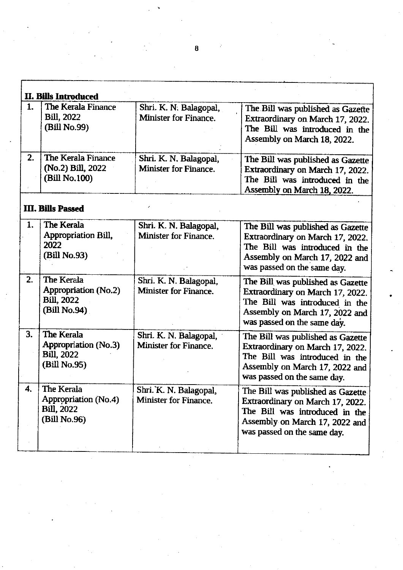|    | II. Bills Introduced                                                     |                                                 |                                                                                                                                                                          |
|----|--------------------------------------------------------------------------|-------------------------------------------------|--------------------------------------------------------------------------------------------------------------------------------------------------------------------------|
| 1. | The Kerala Finance<br><b>Bill</b> , 2022<br>(Bill No.99)                 | Shri. K. N. Balagopal,<br>Minister for Finance. | The Bill was published as Gazette<br>Extraordinary on March 17, 2022.<br>The Bill was introduced in the<br>Assembly on March 18, 2022.                                   |
| 2. | The Kerala Finance<br>(No.2) Bill, 2022<br>(Bill No.100)                 | Shri. K. N. Balagopal,<br>Minister for Finance. | The Bill was published as Gazette<br>Extraordinary on March 17, 2022.<br>The Bill was introduced in the<br>Assembly on March 18, 2022.                                   |
|    | <b>III. Bills Passed</b>                                                 |                                                 |                                                                                                                                                                          |
| 1. | The Kerala<br>Appropriation Bill,<br>2022<br>(Bill No.93)                | Shri. K. N. Balagopal,<br>Minister for Finance. | The Bill was published as Gazette<br>Extraordinary on March 17, 2022.<br>The Bill was introduced in the<br>Assembly on March 17, 2022 and<br>was passed on the same day. |
| 2. | The Kerala<br>Appropriation (No.2)<br><b>Bill, 2022</b><br>(Bill No.94)  | Shri. K. N. Balagopal,<br>Minister for Finance. | The Bill was published as Gazette<br>Extraordinary on March 17, 2022.<br>The Bill was introduced in the<br>Assembly on March 17, 2022 and<br>was passed on the same day. |
| 3. | The Kerala<br>Appropriation (No.3)<br><b>Bill. 2022</b><br>(Bill No.95)  | Shri. K. N. Balagopal,<br>Minister for Finance. | The Bill was published as Gazette<br>Extraordinary on March 17, 2022.<br>The Bill was introduced in the<br>Assembly on March 17, 2022 and<br>was passed on the same day. |
| 4. | The Kerala<br>Appropriation (No.4)<br><b>Bill</b> , 2022<br>(Bill No.96) | Shri. K. N. Balagopal,<br>Minister for Finance. | The Bill was published as Gazette<br>Extraordinary on March 17, 2022.<br>The Bill was introduced in the<br>Assembly on March 17, 2022 and<br>was passed on the same day. |

 $\bf{a}$ 

 $\boldsymbol{\gamma}$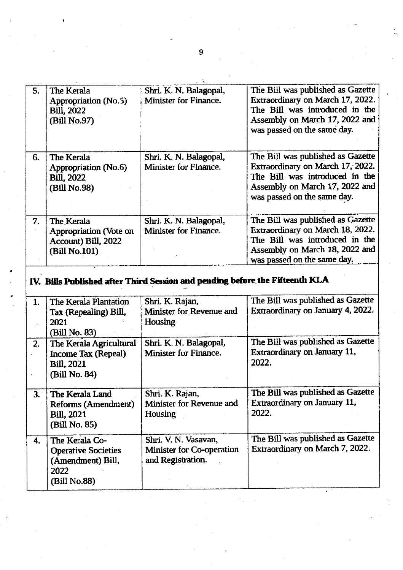| 5.  | The Kerala<br>Appropriation (No.5)<br><b>Bill</b> , 2022<br>(Bill No.97)              | Shri. K. N. Balagopal,<br>Minister for Finance.                              | The Bill was published as Gazette<br>Extraordinary on March 17, 2022.<br>The Bill was introduced in the<br>Assembly on March 17, 2022 and<br>was passed on the same day. |
|-----|---------------------------------------------------------------------------------------|------------------------------------------------------------------------------|--------------------------------------------------------------------------------------------------------------------------------------------------------------------------|
| 6.  | The Kerala<br>Appropriation (No.6)<br><b>Bill</b> , 2022<br>(Bill No.98)              | Shri. K. N. Balagopal,<br>Minister for Finance.                              | The Bill was published as Gazette<br>Extraordinary on March 17, 2022.<br>The Bill was introduced in the<br>Assembly on March 17, 2022 and<br>was passed on the same day. |
| 7.  | The Kerala<br>Appropriation (Vote on<br>Account) Bill, 2022<br>(Bill No.101)          | Shri. K. N. Balagopal,<br>Minister for Finance.                              | The Bill was published as Gazette<br>Extraordinary on March 18, 2022.<br>The Bill was introduced in the<br>Assembly on March 18, 2022 and<br>was passed on the same day. |
|     |                                                                                       | IV. Bills Published after Third Session and pending before the Fifteenth KLA |                                                                                                                                                                          |
| 1.  | The Kerala Plantation<br>Tax (Repealing) Bill,<br>2021<br>(Bill No. 83)               | Shri. K. Rajan,<br>Minister for Revenue and<br>Housing                       | The Bill was published as Gazette<br>Extraordinary on January 4, 2022.                                                                                                   |
| 2.  | The Kerala Agricultural<br>Income Tax (Repeal)<br><b>Bill</b> , 2021<br>(Bill No. 84) | Shri. K. N. Balagopal,<br>Minister for Finance.                              | The Bill was published as Gazette<br>Extraordinary on January 11,<br>2022.                                                                                               |
| 3.1 | The Kerala Land<br>Reforms (Amendment)                                                | Shri. K. Rajan,<br>Minister for Revenue and                                  | The Bill was published as Gazette<br>Extraordinary on January 11,                                                                                                        |

(Bill No.85) 4. The Kerala Co. Operative Societies (Amendment) Bill, 2022 (Bill No.88) Shri. V. N. Vasavan, Minister for Co-operation and Registration. The Bill was published as Gazette Extraordinary on March 7, 2022.

2022.

Housing

Bill,2021

 $\overline{9}$